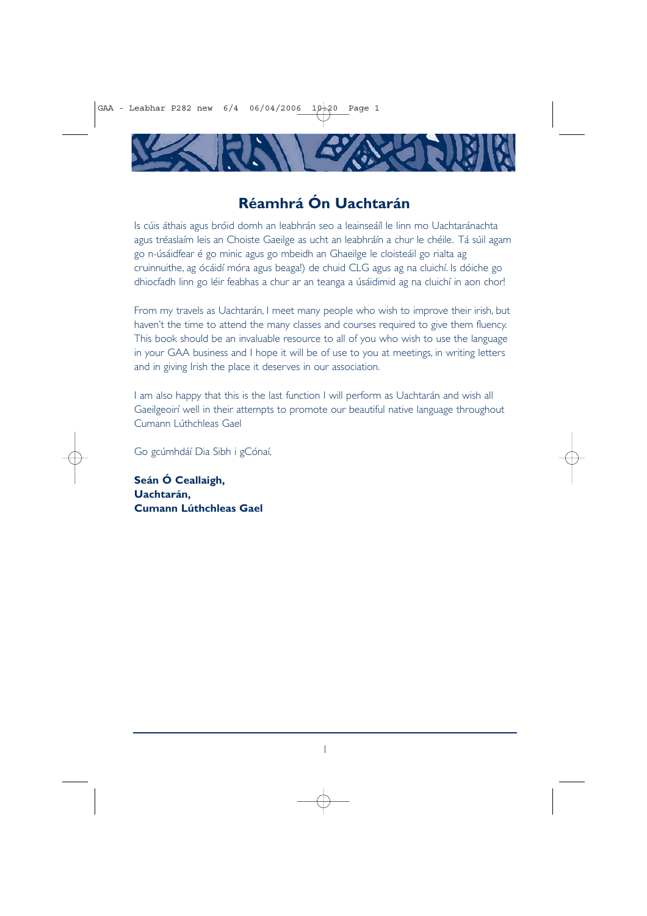# **Réamhrá Ón Uachtarán**

Is cúis áthais agus bróid domh an leabhrán seo a leainseáíl le linn mo Uachtaránachta agus tréaslaím leis an Choiste Gaeilge as ucht an leabhráín a chur le chéile. Tá súil agam go n-úsáidfear é go minic agus go mbeidh an Ghaeilge le cloisteáil go rialta ag cruinnuithe, ag ócáidí móra agus beaga!) de chuid CLG agus ag na cluichí. Is dóiche go dhiocfadh linn go léir feabhas a chur ar an teanga a úsáidimid ag na cluichí in aon chor!

From my travels as Uachtarán, I meet many people who wish to improve their irish, but haven't the time to attend the many classes and courses required to give them fluency. This book should be an invaluable resource to all of you who wish to use the language in your GAA business and I hope it will be of use to you at meetings, in writing letters and in giving Irish the place it deserves in our association.

I am also happy that this is the last function I will perform as Uachtarán and wish all Gaeilgeoirí well in their attempts to promote our beautiful native language throughout Cumann Lúthchleas Gael

Go gcúmhdáí Dia Sibh i gCónaí,

**Seán Ó Ceallaigh, Uachtarán, Cumann Lúthchleas Gael**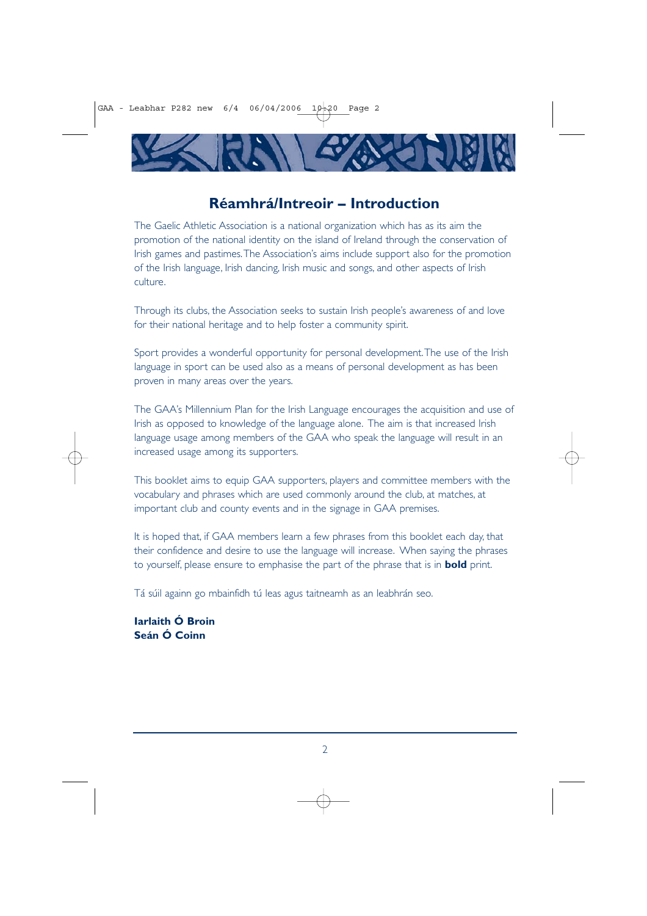

# **Réamhrá/Intreoir – Introduction**

The Gaelic Athletic Association is a national organization which has as its aim the promotion of the national identity on the island of Ireland through the conservation of Irish games and pastimes.The Association's aims include support also for the promotion of the Irish language, Irish dancing, Irish music and songs, and other aspects of Irish culture.

Through its clubs, the Association seeks to sustain Irish people's awareness of and love for their national heritage and to help foster a community spirit.

Sport provides a wonderful opportunity for personal development.The use of the Irish language in sport can be used also as a means of personal development as has been proven in many areas over the years.

The GAA's Millennium Plan for the Irish Language encourages the acquisition and use of Irish as opposed to knowledge of the language alone. The aim is that increased Irish language usage among members of the GAA who speak the language will result in an increased usage among its supporters.

This booklet aims to equip GAA supporters, players and committee members with the vocabulary and phrases which are used commonly around the club, at matches, at important club and county events and in the signage in GAA premises.

It is hoped that, if GAA members learn a few phrases from this booklet each day, that their confidence and desire to use the language will increase. When saying the phrases to yourself, please ensure to emphasise the part of the phrase that is in **bold** print.

Tá súil againn go mbainfidh tú leas agus taitneamh as an leabhrán seo.

**Iarlaith Ó Broin Seán Ó Coinn**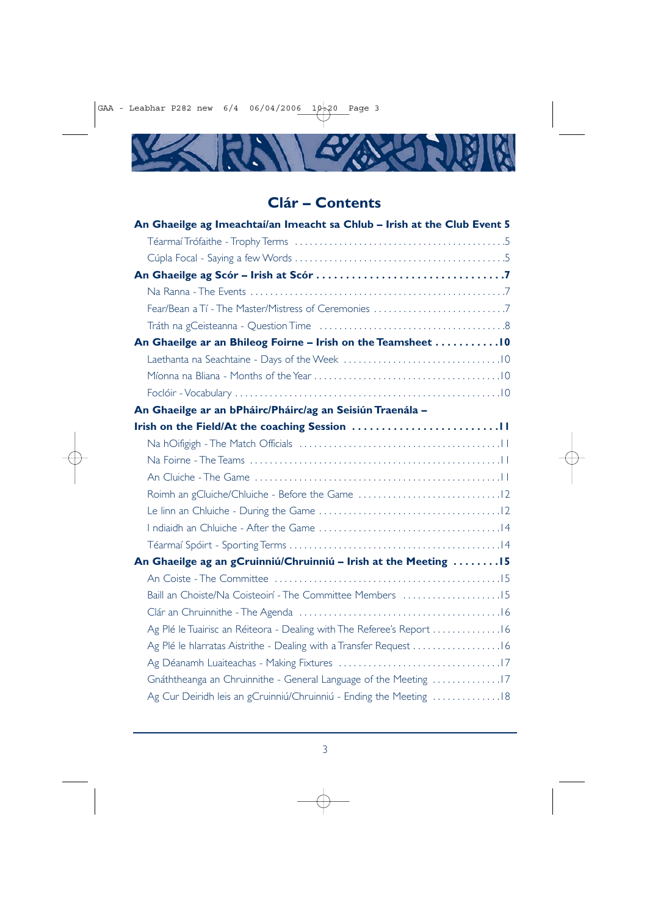

# **Clár – Contents**

| An Ghaeilge ag Imeachtaí/an Imeacht sa Chlub - Irish at the Club Event 5 |
|--------------------------------------------------------------------------|
|                                                                          |
|                                                                          |
|                                                                          |
|                                                                          |
|                                                                          |
|                                                                          |
| An Ghaeilge ar an Bhileog Foirne - Irish on the Teamsheet  10            |
|                                                                          |
|                                                                          |
|                                                                          |
| An Ghaeilge ar an bPháirc/Pháirc/ag an Seisiún Traenála -                |
|                                                                          |
|                                                                          |
|                                                                          |
|                                                                          |
|                                                                          |
|                                                                          |
|                                                                          |
|                                                                          |
| An Ghaeilge ag an gCruinniú/Chruinniú - Irish at the Meeting  15         |
|                                                                          |
| Baill an Choiste/Na Coisteoirí - The Committee Members 15                |
|                                                                          |
| Ag Plé le Tuairisc an Réiteora - Dealing with The Referee's Report 16    |
| Ag Plé le hlarratas Aistrithe - Dealing with a Transfer Request 16       |
|                                                                          |
| Gnáththeanga an Chruinnithe - General Language of the Meeting 17         |
| Ag Cur Deiridh leis an gCruinniú/Chruinniú - Ending the Meeting 18       |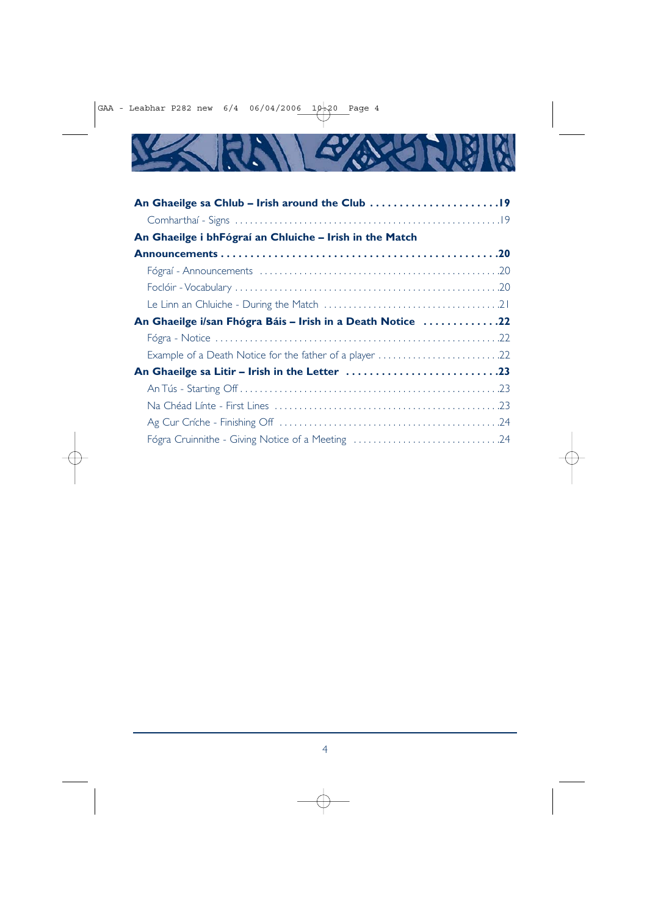

| An Ghaeilge i bhFógraí an Chluiche – Irish in the Match    |
|------------------------------------------------------------|
|                                                            |
|                                                            |
|                                                            |
|                                                            |
| An Ghaeilge i/san Fhógra Báis - Irish in a Death Notice 22 |
|                                                            |
| Example of a Death Notice for the father of a player 22    |
|                                                            |
|                                                            |
|                                                            |
|                                                            |
| Fógra Cruinnithe - Giving Notice of a Meeting 24           |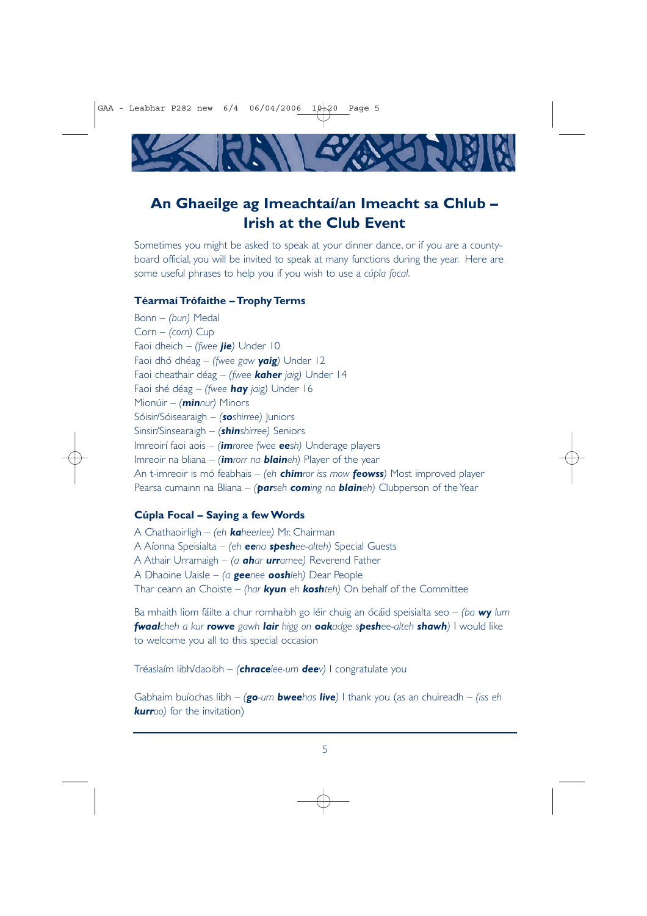

# **An Ghaeilge ag Imeachtaí/an Imeacht sa Chlub – Irish at the Club Event**

Sometimes you might be asked to speak at your dinner dance, or if you are a countyboard official, you will be invited to speak at many functions during the year. Here are some useful phrases to help you if you wish to use a *cúpla focal*.

#### **Téarmaí Trófaithe – Trophy Terms**

Bonn – *(bun)* Medal Corn – *(corn)* Cup Faoi dheich – *(fwee jie)* Under 10 Faoi dhó dhéag – *(fwee gaw yaig)* Under 12 Faoi cheathair déag – *(fwee kaher jaig)* Under 14 Faoi shé déag – *(fwee hay jaig)* Under 16 Mionúir – *(minnur)* Minors Sóisir/Sóisearaigh – *(soshirree)* Juniors Sinsir/Sinsearaigh – *(shinshirree)* Seniors Imreoirí faoi aois – *(imroree fwee eesh)* Underage players Imreoir na bliana – *(imrorr na blaineh)* Player of the year An t-imreoir is mó feabhais – *(eh chimror iss mow feowss)* Most improved player Pearsa cumainn na Bliana – *(parseh coming na blaineh)* Clubperson of the Year

#### **Cúpla Focal – Saying a few Words**

A Chathaoirligh – *(eh kaheerlee)* Mr. Chairman A Aíonna Speisialta – *(eh eena speshee-alteh)* Special Guests A Athair Urramaigh – *(a ahar urramee)* Reverend Father A Dhaoine Uaisle – *(a geenee ooshleh)* Dear People Thar ceann an Choiste – *(har kyun eh koshteh)* On behalf of the Committee

Ba mhaith liom fáilte a chur romhaibh go léir chuig an ócáid speisialta seo – *(ba wy lum fwaalcheh a kur rowve gawh lair higg on oakadge speshee-alteh shawh)* I would like to welcome you all to this special occasion

Tréaslaím libh/daoibh – *(chracelee-um deev)* I congratulate you

Gabhaim buíochas libh – *(go-um bweehas live)* I thank you (as an chuireadh – *(iss eh kurroo)* for the invitation)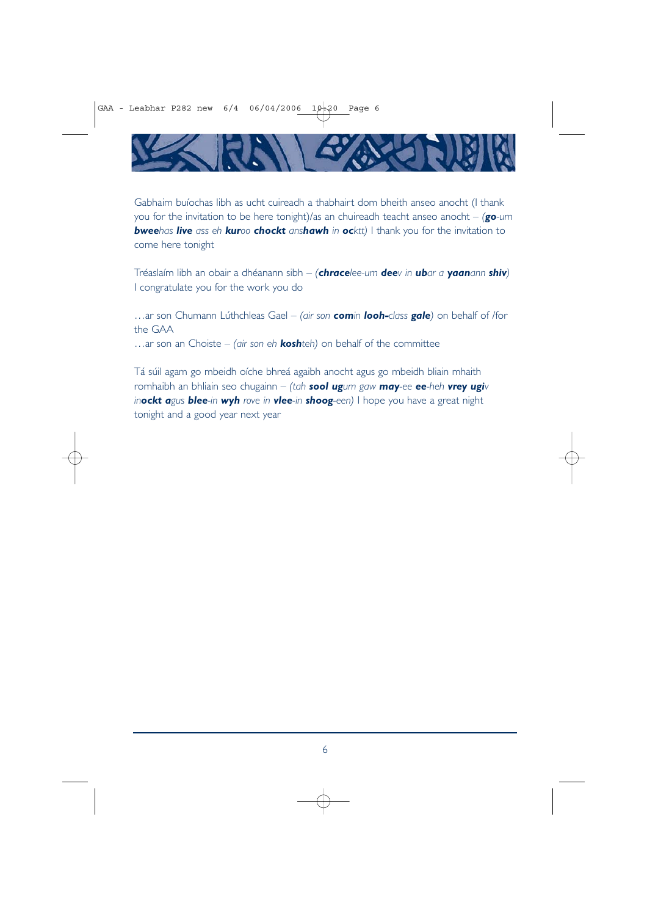

Gabhaim buíochas libh as ucht cuireadh a thabhairt dom bheith anseo anocht (I thank you for the invitation to be here tonight)/as an chuireadh teacht anseo anocht – *(go-um bweehas live ass eh kuroo chockt anshawh in ocktt)* I thank you for the invitation to come here tonight

Tréaslaím libh an obair a dhéanann sibh – *(chracelee-um deev in ubar a yaanann shiv)* I congratulate you for the work you do

…ar son Chumann Lúthchleas Gael – *(air son comin looh-class gale)* on behalf of /for the GAA

…ar son an Choiste – *(air son eh koshteh)* on behalf of the committee

Tá súil agam go mbeidh oíche bhreá agaibh anocht agus go mbeidh bliain mhaith romhaibh an bhliain seo chugainn – *(tah sool ugum gaw may-ee ee-heh vrey ugiv inockt agus blee-in wyh rove in vlee-in shoog-een)* I hope you have a great night tonight and a good year next year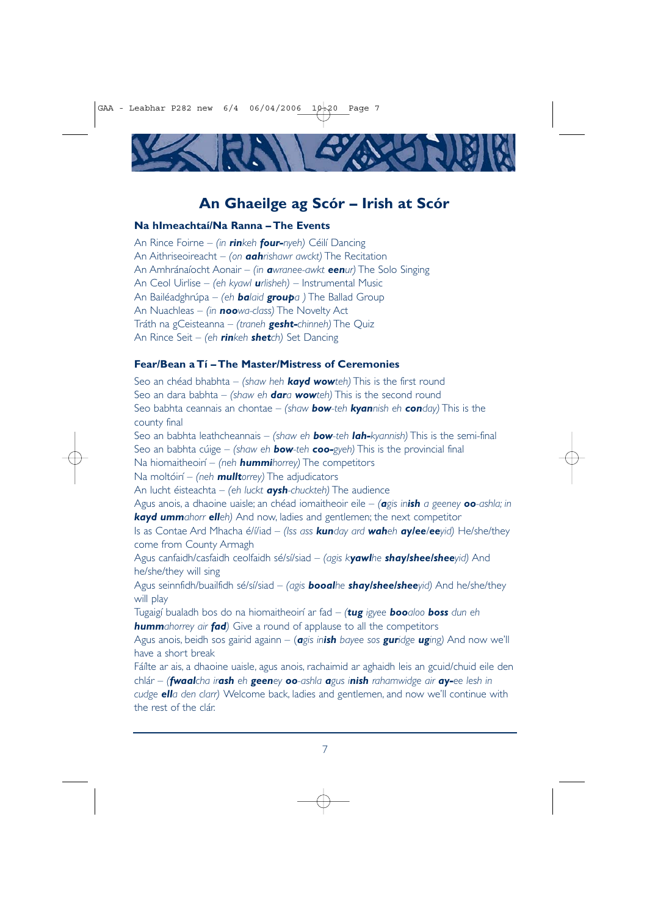

# **An Ghaeilge ag Scór – Irish at Scór**

### **Na hImeachtaí/Na Ranna – The Events**

the rest of the clár.

An Rince Foirne – *(in rinkeh four-nyeh)* Céilí Dancing An Aithriseoireacht – *(on aahrishawr awckt)* The Recitation An Amhránaíocht Aonair – *(in awranee-awkt eenur)* The Solo Singing An Ceol Uirlise – *(eh kyawl urlisheh)* – Instrumental Music An Bailéadghrúpa – *(eh balaid groupa )* The Ballad Group An Nuachleas – *(in noowa-class)* The Novelty Act Tráth na gCeisteanna – *(traneh gesht-chinneh)* The Quiz An Rince Seit – *(eh rinkeh shetch)* Set Dancing

## **Fear/Bean a Tí – The Master/Mistress of Ceremonies**

Seo an chéad bhabhta – *(shaw heh kayd wowteh)* This is the first round Seo an dara babhta – *(shaw eh dara wowteh)* This is the second round Seo babhta ceannais an chontae – *(shaw bow-teh kyannish eh conday)* This is the county final Seo an babhta leathcheannais – *(shaw eh bow-teh lah-kyannish)* This is the semi-final Seo an babhta cúige – *(shaw eh bow-teh coo-gyeh)* This is the provincial final Na hiomaitheoirí – *(neh hummihorrey)* The competitors Na moltóirí – *(neh mulltorrey)* The adjudicators An lucht éisteachta – *(eh luckt aysh-chuckteh)* The audience Agus anois, a dhaoine uaisle; an chéad iomaitheoir eile – *(agis inish a geeney oo-ashla; in kayd ummahorr elleh)* And now, ladies and gentlemen; the next competitor Is as Contae Ard Mhacha é/í/iad – *(Iss ass kunday ard waheh ay/ee/eeyid)* He/she/they come from County Armagh Agus canfaidh/casfaidh ceolfaidh sé/sí/siad – *(agis kyawlhe shay/shee/sheeyid)* And he/she/they will sing Agus seinnfidh/buailfidh sé/sí/siad – *(agis booalhe shay/shee/sheeyid)* And he/she/they will play Tugaigí bualadh bos do na hiomaitheoirí ar fad – *(tug igyee booaloo boss dun eh hummahorrey air fad)* Give a round of applause to all the competitors Agus anois, beidh sos gairid againn – (*agis inish bayee sos guridge uging)* And now we'll have a short break Fáílte ar ais, a dhaoine uaisle, agus anois, rachaimid ar aghaidh leis an gcuid/chuid eile den chlár – *(fwaalcha irash eh geeney oo-ashla agus inish rahamwidge air ay-ee lesh in cudge ella den clarr)* Welcome back, ladies and gentlemen, and now we'll continue with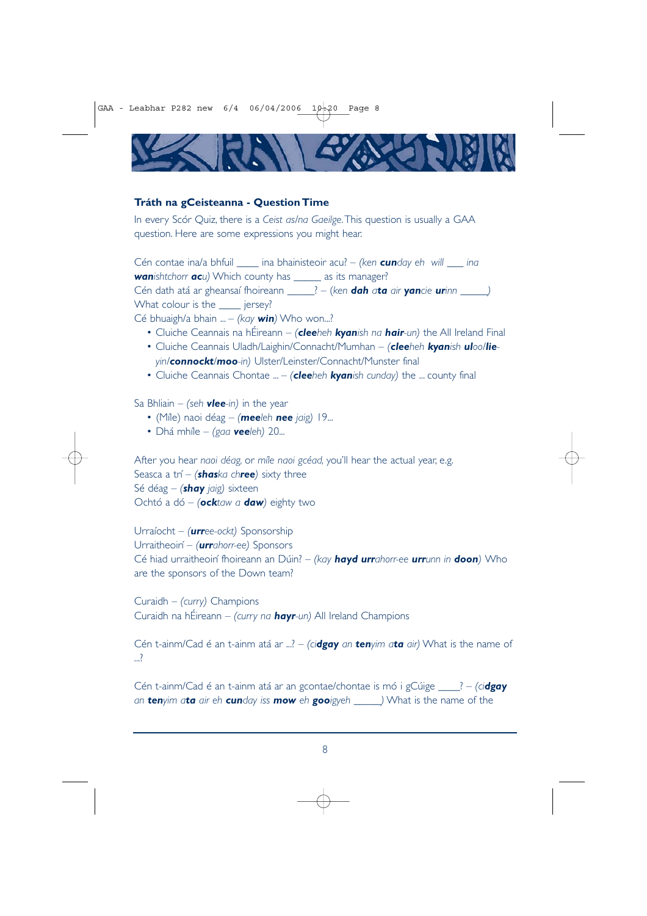

#### **Tráth na gCeisteanna - Question Time**

In every Scór Quiz, there is a *Ceist as/na Gaeilge*.This question is usually a GAA question. Here are some expressions you might hear.

Cén contae ina/a bhfuil \_\_\_\_ ina bhainisteoir acu? – *(ken cunday eh will \_\_\_ ina wanishtchorr acu)* Which county has \_\_\_\_\_ as its manager? Cén dath atá ar gheansaí fhoireann \_\_\_\_\_? – (*ken dah ata air yancie urinn \_\_\_\_\_)* What colour is the **iersey?** 

Cé bhuaigh/a bhain ... – *(kay win)* Who won...?

- Cluiche Ceannais na hÉireann *(cleeheh kyanish na hair-un)* the All Ireland Final
- Cluiche Ceannais Uladh/Laighin/Connacht/Mumhan *(cleeheh kyanish uloo/lieyin/connockt/moo-in)* Ulster/Leinster/Connacht/Munster final
- Cluiche Ceannais Chontae ... *(cleeheh kyanish cunday)* the ... county final

Sa Bhliain – *(seh vlee-in)* in the year

- (Míle) naoi déag *(meeleh nee jaig)* 19...
- Dhá mhíle *(gaa veeleh)* 20...

After you hear *naoi déag,* or *míle naoi gcéad,* you'll hear the actual year, e.g. Seasca a trí – *(shaska chree)* sixty three Sé déag – *(shay jaig)* sixteen Ochtó a dó – *(ocktaw a daw)* eighty two

Urraíocht – *(urree-ockt)* Sponsorship Urraitheoirí – *(urrahorr-ee)* Sponsors Cé hiad urraitheoirí fhoireann an Dúin? – *(kay hayd urrahorr-ee urrunn in doon)* Who are the sponsors of the Down team?

Curaidh – *(curry)* Champions Curaidh na hÉireann – *(curry na hayr-un)* All Ireland Champions

Cén t-ainm/Cad é an t-ainm atá ar ...? – *(cidgay an tenyim ata air)* What is the name of ...?

Cén t-ainm/Cad é an t-ainm atá ar an gcontae/chontae is mó i gCúige \_\_\_\_? – *(cidgay an tenyim ata air eh cunday iss mow eh gooigyeh \_\_\_\_\_)* What is the name of the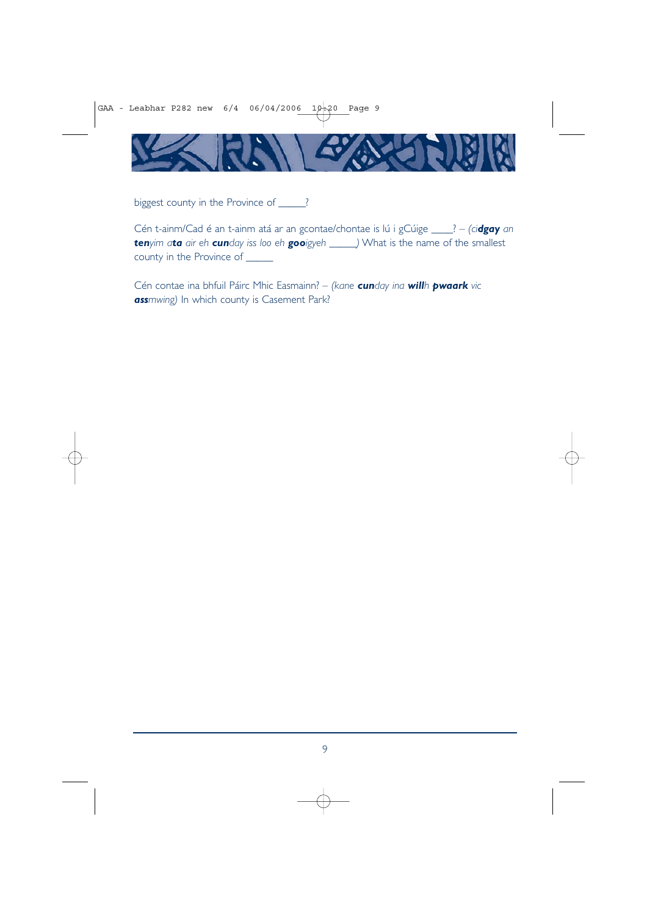

biggest county in the Province of \_\_\_\_\_?

Cén t-ainm/Cad é an t-ainm atá ar an gcontae/chontae is lú i gCúige \_\_\_\_? – *(cidgay an tenyim ata air eh cunday iss loo eh gooigyeh \_\_\_\_\_)* What is the name of the smallest county in the Province of \_\_\_\_\_

Cén contae ina bhfuil Páirc Mhic Easmainn? – *(kane cunday ina willh pwaark vic* **ass***mwing*) In which county is Casement Park?

9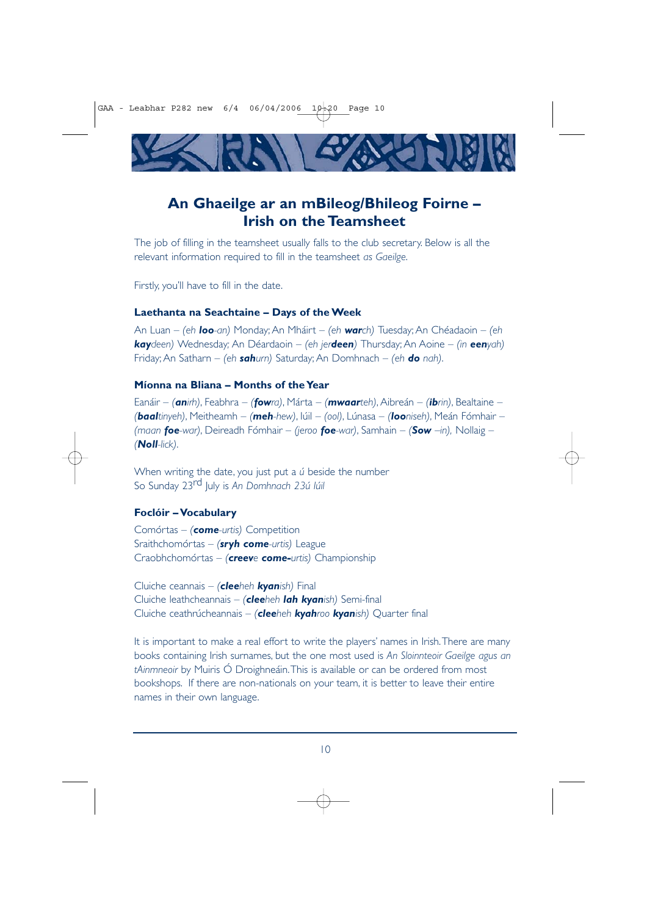

# **An Ghaeilge ar an mBileog/Bhileog Foirne – Irish on the Teamsheet**

The job of filling in the teamsheet usually falls to the club secretary. Below is all the relevant information required to fill in the teamsheet *as Gaeilge*.

Firstly, you'll have to fill in the date.

#### **Laethanta na Seachtaine – Days of the Week**

An Luan – *(eh loo-an)* Monday; An Mháirt – *(eh warch)* Tuesday; An Chéadaoin – *(eh kaydeen)* Wednesday*;* An Déardaoin – *(eh jerdeen)* Thursday; An Aoine – *(in eenyah)* Friday; An Satharn – *(eh sahurn)* Saturday; An Domhnach – *(eh do nah)*.

### **Míonna na Bliana – Months of the Year**

Eanáir – *(anirh)*, Feabhra – *(fowra)*, Márta – *(mwaarteh)*, Aibreán – *(ibrin)*, Bealtaine – *(baaltinyeh)*, Meitheamh – *(meh-hew)*, Iúil – *(ool)*, Lúnasa – *(looniseh)*, Meán Fómhair – *(maan foe-war)*, Deireadh Fómhair – *(jeroo foe-war)*, Samhain – *(Sow –in),* Nollaig – *(Noll-lick)*.

When writing the date, you just put a *ú* beside the number So Sunday 23rd July is *An Domhnach 23ú Iúil*

#### **Foclóir – Vocabulary**

Comórtas – *(come-urtis)* Competition Sraithchomórtas – *(sryh come-urtis)* League Craobhchomórtas – *(creeve come-urtis)* Championship

Cluiche ceannais – *(cleeheh kyanish)* Final Cluiche leathcheannais – *(cleeheh lah kyanish)* Semi-final Cluiche ceathrúcheannais – *(cleeheh kyahroo kyanish)* Quarter final

It is important to make a real effort to write the players' names in Irish. There are many books containing Irish surnames, but the one most used is *An Sloinnteoir Gaeilge agus an tAinmneoir* by Muiris Ó Droighneáin.This is available or can be ordered from most bookshops. If there are non-nationals on your team, it is better to leave their entire names in their own language.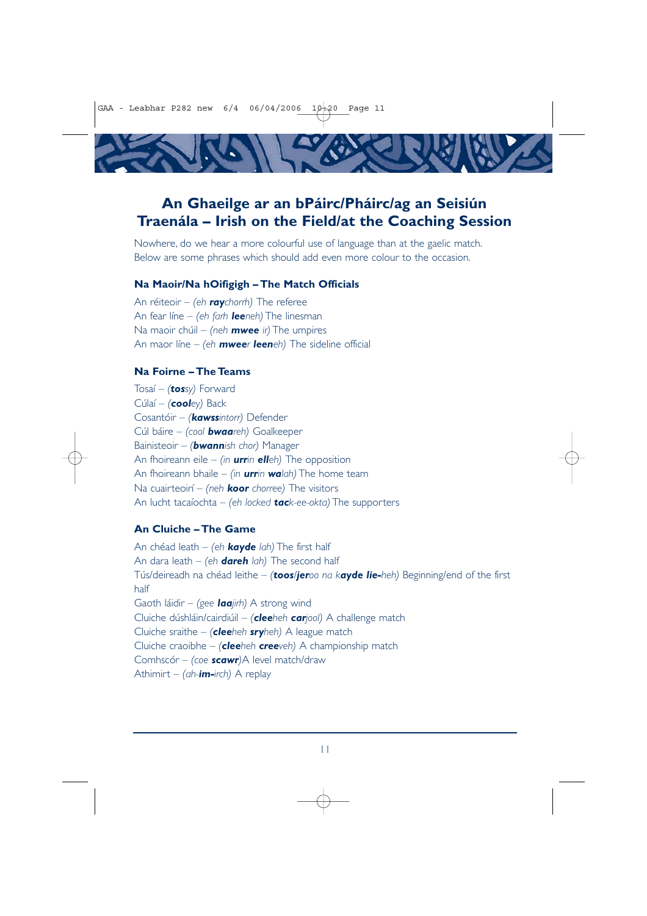GAA - Leabhar P282 new  $6/4$  06/04/2006 10-20 Page 11



# **An Ghaeilge ar an bPáirc/Pháirc/ag an Seisiún Traenála – Irish on the Field/at the Coaching Session**

Nowhere, do we hear a more colourful use of language than at the gaelic match. Below are some phrases which should add even more colour to the occasion.

#### **Na Maoir/Na hOifigigh – The Match Officials**

An réiteoir – *(eh raychorrh)* The referee An fear líne – *(eh farh leeneh)* The linesman Na maoir chúil – *(neh mwee ir)* The umpires An maor líne – *(eh mweer leeneh)* The sideline official

#### **Na Foirne – The Teams**

Tosaí – *(tossy)* Forward Cúlaí – *(cooley)* Back Cosantóir – *(kawssintorr)* Defender Cúl báire – *(cool bwaareh)* Goalkeeper Bainisteoir – *(bwannish chor)* Manager An fhoireann eile – *(in urrin elleh)* The opposition An fhoireann bhaile – *(in urrin walah)* The home team Na cuairteoirí – *(neh koor chorree)* The visitors An lucht tacaíochta – *(eh locked tack-ee-okta)* The supporters

## **An Cluiche – The Game**

An chéad leath – *(eh kayde lah)* The first half An dara leath – *(eh dareh lah)* The second half Tús/deireadh na chéad leithe – *(toos/jeroo na kayde lie-heh)* Beginning/end of the first half Gaoth láidir – *(gee laajirh)* A strong wind Cluiche dúshláin/cairdiúil – *(cleeheh carjool)* A challenge match Cluiche sraithe – *(cleeheh sryheh)* A league match Cluiche craoibhe – *(cleeheh creeveh)* A championship match Comhscór – *(coe scawr)*A level match/draw Athimirt – *(ah-im-irch)* A replay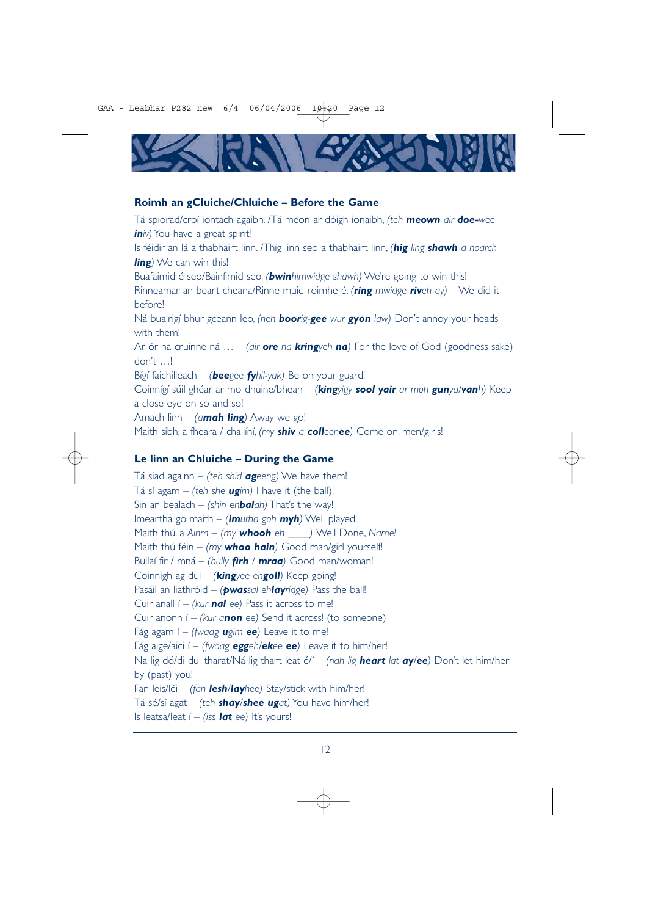

#### **Roimh an gCluiche/Chluiche – Before the Game**

Tá spiorad/croí iontach agaibh. /Tá meon ar dóigh ionaibh, *(teh meown air doe-wee iniv*) You have a great spirit!

Is féidir an lá a thabhairt linn. /Thig linn seo a thabhairt linn, *(hig ling shawh a hoarch ling)* We can win this!

Buafaimid é seo/Bainfimid seo, *(bwinhimwidge shawh)* We're going to win this! Rinneamar an beart cheana/Rinne muid roimhe é, *(ring mwidge riveh ay)* – We did it before!

Ná buairigí bhur gceann leo, *(neh boorig-gee wur gyon law)* Don't annoy your heads with them!

Ar ór na cruinne ná … – *(air ore na kringyeh na)* For the love of God (goodness sake) don't …!

Bígí faichilleach – *(beegee fyhil-yak)* Be on your guard!

Coinnígí súil ghéar ar mo dhuine/bhean – *(kingyigy sool yair ar moh gunya/vanh)* Keep a close eye on so and so!

Amach linn – *(amah ling)* Away we go!

Maith sibh, a fheara / chailíní, *(my shiv a colleenee)* Come on, men/girls!

## **Le linn an Chluiche – During the Game**

Tá siad againn – *(teh shid ageeng)* We have them! Tá sí agam – *(teh she ugim)* I have it *(the ball)!* Sin an bealach – *(shin ehbalah)* That's the way! Imeartha go maith – *(imurha goh myh)* Well played! Maith thú, a *Ainm* – *(my whooh eh \_\_\_\_)* Well Done, *Name!* Maith thú féin – *(my whoo hain)* Good man/girl yourself! Bullaí fir / mná – *(bully firh / mraa)* Good man/woman! Coinnigh ag dul – *(kingyee ehgoll)* Keep going! Pasáil an liathróid – *(pwassal ehlayridge)* Pass the ball! Cuir anall í – *(kur nal ee)* Pass it across to me! Cuir anonn í – *(kur anon ee)* Send it across! (to someone) Fág agam í – *(fwaag ugim ee)* Leave it to me! Fág aige/aici í – *(fwaag eggeh/ekee ee)* Leave it to him/her! Na lig dó/di dul tharat/Ná lig thart leat é/í – *(nah lig heart lat ay/ee)* Don't let him/her by (past) you! Fan leis/léi – *(fan lesh/layhee)* Stay/stick with him/her! Tá sé/sí agat – *(teh shay/shee ugat)* You have him/her! Is leatsa/leat í – *(iss lat ee)* It's yours!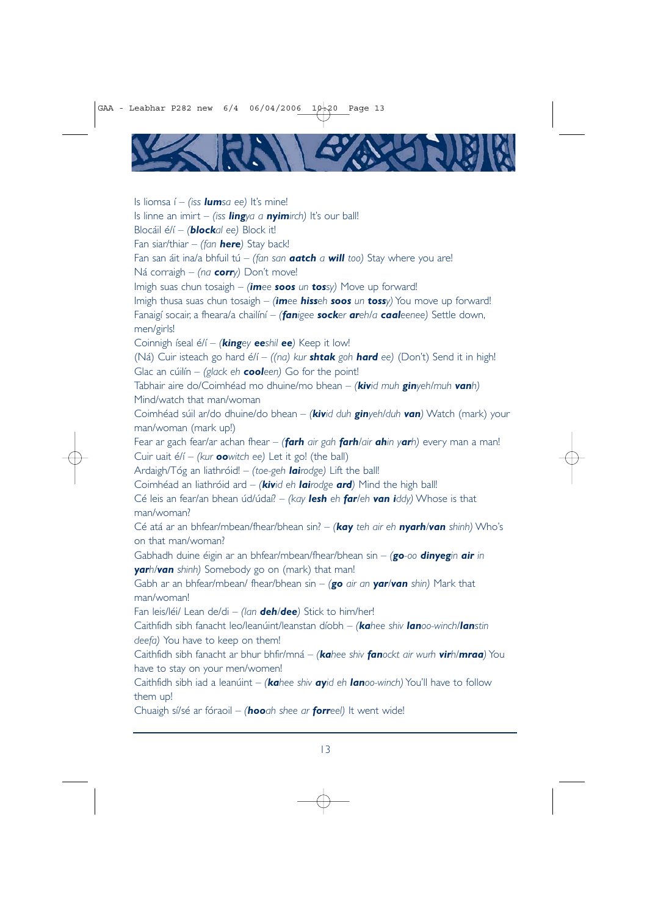

Is liomsa í – *(iss lumsa ee)* It's mine! Is linne an imirt – *(iss lingya a nyimirch)* It's our ball! Blocáil é/í – *(blockal ee)* Block it! Fan siar/thiar – *(fan here)* Stay back! Fan san áit ina/a bhfuil tú – *(fan san aatch a will too)* Stay where you are! Ná corraigh – *(na corry)* Don't move! Imigh suas chun tosaigh – *(imee soos un tossy)* Move up forward! Imigh thusa suas chun tosaigh – *(imee hisseh soos un tossy)* You move up forward! Fanaigí socair, a fheara/a chailíní – *(fanigee socker areh/a caaleenee)* Settle down, men/girls! Coinnigh íseal é/í – *(kingey eeshil ee)* Keep it low! (Ná) Cuir isteach go hard é/í – *((na) kur shtak goh hard ee)* (Don't) Send it in high! Glac an cúilín – *(glack eh cooleen)* Go for the point! Tabhair aire do/Coimhéad mo dhuine/mo bhean – *(kivid muh ginyeh/muh vanh)* Mind/watch that man/woman Coimhéad súil ar/do dhuine/do bhean – *(kivid duh ginyeh/duh van)* Watch (mark) your man/woman (mark up!) Fear ar gach fear/ar achan fhear – *(farh air gah farh/air ahin yarh)* every man a man! Cuir uait é/í – *(kur oowitch ee)* Let it go! (the ball) Ardaigh/Tóg an liathróid! – *(toe-geh lairodge)* Lift the ball! Coimhéad an liathróid ard – *(kivid eh lairodge ard)* Mind the high ball! Cé leis an fear/an bhean úd/údaí? – *(kay lesh eh far/eh van iddy)* Whose is that man/woman? Cé atá ar an bhfear/mbean/fhear/bhean sin? – *(kay teh air eh nyarh/van shinh)* Who's on that man/woman? Gabhadh duine éigin ar an bhfear/mbean/fhear/bhean sin – *(go-oo dinyegin air in yarh/van shinh)* Somebody go on (mark) that man! Gabh ar an bhfear/mbean/ fhear/bhean sin – *(go air an yar/van shin)* Mark that man/woman! Fan leis/léi/ Lean de/di – *(lan deh/dee)* Stick to him/her! Caithfidh sibh fanacht leo/leanúint/leanstan díobh – *(kahee shiv lanoo-winch/lanstin deefa)* You have to keep on them! Caithfidh sibh fanacht ar bhur bhfir/mná – *(kahee shiv fanockt air wurh virh/mraa)* You have to stay on your men/women! Caithfidh sibh iad a leanúint – *(kahee shiv ayid eh lanoo-winch)* You'll have to follow them up! Chuaigh sí/sé ar fóraoil – *(hooah shee ar forreel)* It went wide!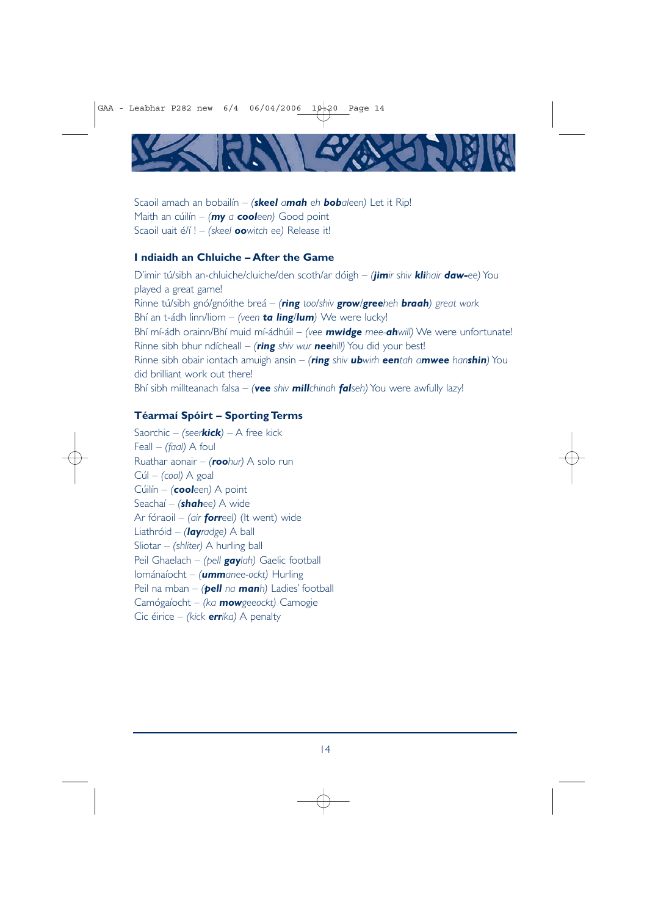

Scaoil amach an bobailín – *(skeel amah eh bobaleen)* Let it Rip! Maith an cúilín – *(my a cooleen)* Good point Scaoil uait é/í ! – *(skeel oowitch ee)* Release it!

## **I ndiaidh an Chluiche – After the Game**

D'imir tú/sibh an-chluiche/cluiche/den scoth/ar dóigh – *(jimir shiv klihair daw-ee)* You played a great game! Rinne tú/sibh gnó/gnóithe breá – *(ring too/shiv grow/greeheh braah) great work* Bhí an t-ádh linn/liom – *(veen ta ling/lum)* We were lucky! Bhí mí-ádh orainn/Bhí muid mí-ádhúil – *(vee mwidge mee-ahwill)* We were unfortunate! Rinne sibh bhur ndícheall – *(ring shiv wur neehill)* You did your best! Rinne sibh obair iontach amuigh ansin – *(ring shiv ubwirh eentah amwee hanshin)* You did brilliant work out there! Bhí sibh millteanach falsa – *(vee shiv millchinah falseh)* You were awfully lazy!

### **Téarmaí Spóirt – Sporting Terms**

Saorchic – *(seerkick)* – A free kick Feall – *(faal)* A foul Ruathar aonair – *(roohur)* A solo run Cúl – *(cool)* A goal Cúilín – *(cooleen)* A point Seachaí – *(shahee)* A wide Ar fóraoil – *(air forreel)* (It went) wide Liathróid – *(layradge)* A ball Sliotar – *(shliter)* A hurling ball Peil Ghaelach – *(pell gaylah)* Gaelic football Iománaíocht – *(ummanee-ockt)* Hurling Peil na mban – *(pell na manh)* Ladies' football Camógaíocht – *(ka mowgeeockt)* Camogie Cic éirice – *(kick errika)* A penalty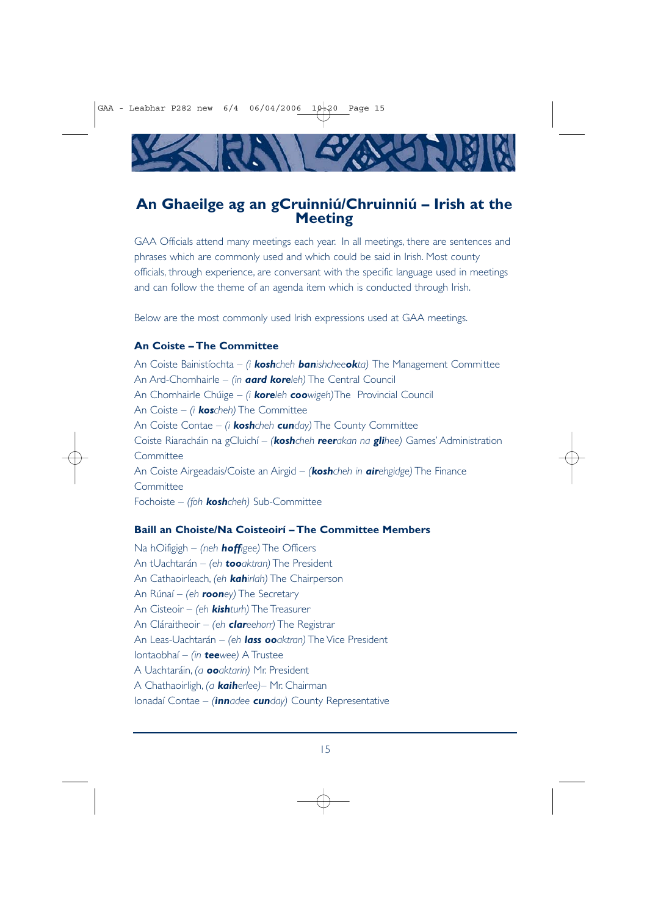

# **An Ghaeilge ag an gCruinniú/Chruinniú – Irish at the Meeting**

GAA Officials attend many meetings each year. In all meetings, there are sentences and phrases which are commonly used and which could be said in Irish. Most county officials, through experience, are conversant with the specific language used in meetings and can follow the theme of an agenda item which is conducted through Irish.

Below are the most commonly used Irish expressions used at GAA meetings.

## **An Coiste – The Committee**

An Coiste Bainistíochta – *(i koshcheh banishcheeokta)* The Management Committee An Ard-Chomhairle – *(in aard koreleh)* The Central Council An Chomhairle Chúige – *(i koreleh coowigeh)*The Provincial Council An Coiste – *(i koscheh)* The Committee An Coiste Contae – *(i koshcheh cunday)* The County Committee Coiste Riaracháin na gCluichí – *(koshcheh reerakan na glihee)* Games' Administration **Committee** An Coiste Airgeadais/Coiste an Airgid – *(koshcheh in airehgidge)* The Finance **Committee** Fochoiste – *(foh koshcheh)* Sub-Committee

### **Baill an Choiste/Na Coisteoirí – The Committee Members**

Na hOifigigh – *(neh hoffigee)* The Officers An tUachtarán – *(eh tooaktran)* The President An Cathaoirleach, *(eh kahirlah)* The Chairperson An Rúnaí – *(eh rooney)* The Secretary An Cisteoir – *(eh kishturh)* The Treasurer An Cláraitheoir – *(eh clareehorr)* The Registrar An Leas-Uachtarán – *(eh lass ooaktran)* The Vice President Iontaobhaí – *(in teewee)* A Trustee A Uachtaráin, *(a ooaktarin)* Mr. President A Chathaoirligh, *(a kaiherlee)*– Mr. Chairman Ionadaí Contae – *(innadee cunday)* County Representative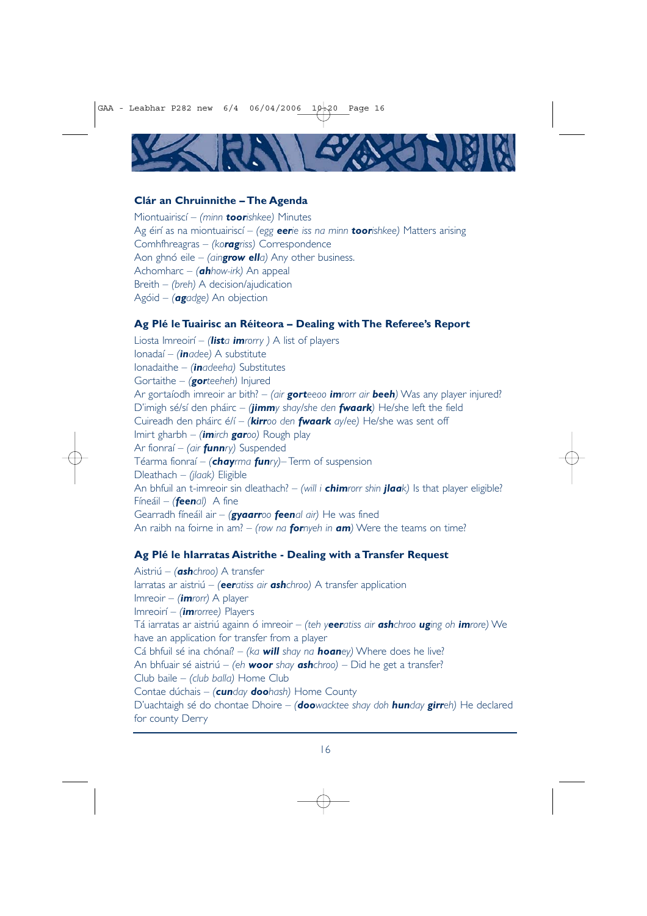

#### **Clár an Chruinnithe – The Agenda**

Miontuairiscí – *(minn toorishkee)* Minutes Ag éirí as na miontuairiscí – *(egg eerie iss na minn toorishkee)* Matters arising Comhfhreagras – *(koragriss)* Correspondence Aon ghnó eile – *(aingrow ella)* Any other business. Achomharc – *(ahhow-irk)* An appeal Breith – *(breh)* A decision/ajudication Agóid – *(agadge)* An objection

#### **Ag Plé le Tuairisc an Réiteora – Dealing with The Referee's Report**

Liosta Imreoirí – *(lista imrorry )* A list of players Ionadaí – *(inadee)* A substitute Ionadaithe – *(inadeeha)* Substitutes Gortaithe – *(gorteeheh)* Injured Ar gortaíodh imreoir ar bith? – *(air gorteeoo imrorr air beeh)* Was any player injured? D'imigh sé/sí den pháirc – *(jimmy shay/she den fwaark)* He/she left the field Cuireadh den pháirc é/í – *(kirroo den fwaark ay/ee)* He/she was sent off Imirt gharbh – *(imirch garoo)* Rough play Ar fionraí – *(air funnry)* Suspended Téarma fionraí – *(chayrma funry)*– Term of suspension Dleathach – *(jlaak)* Eligible An bhfuil an t-imreoir sin dleathach? – *(will i chimrorr shin jlaak)* Is that player eligible? Fíneáil – *(feenal)* A fine Gearradh fíneáil air – *(gyaarroo feenal air)* He was fined An raibh na foirne in am? – *(row na fornyeh in am)* Were the teams on time?

#### **Ag Plé le hIarratas Aistrithe - Dealing with a Transfer Request**

Aistriú – *(ashchroo)* A transfer Iarratas ar aistriú – *(eeratiss air ashchroo)* A transfer application Imreoir – *(imrorr)* A player Imreoirí – *(imrorree)* Players Tá iarratas ar aistriú againn ó imreoir – *(teh yeeratiss air ashchroo uging oh imrore)* We have an application for transfer from a player Cá bhfuil sé ina chónaí? – *(ka will shay na hoaney)* Where does he live? An bhfuair sé aistriú – *(eh woor shay ashchroo)* – Did he get a transfer? Club baile – *(club balla)* Home Club Contae dúchais – *(cunday doohash)* Home County D'uachtaigh sé do chontae Dhoire – *(doowacktee shay doh hunday girreh)* He declared for county Derry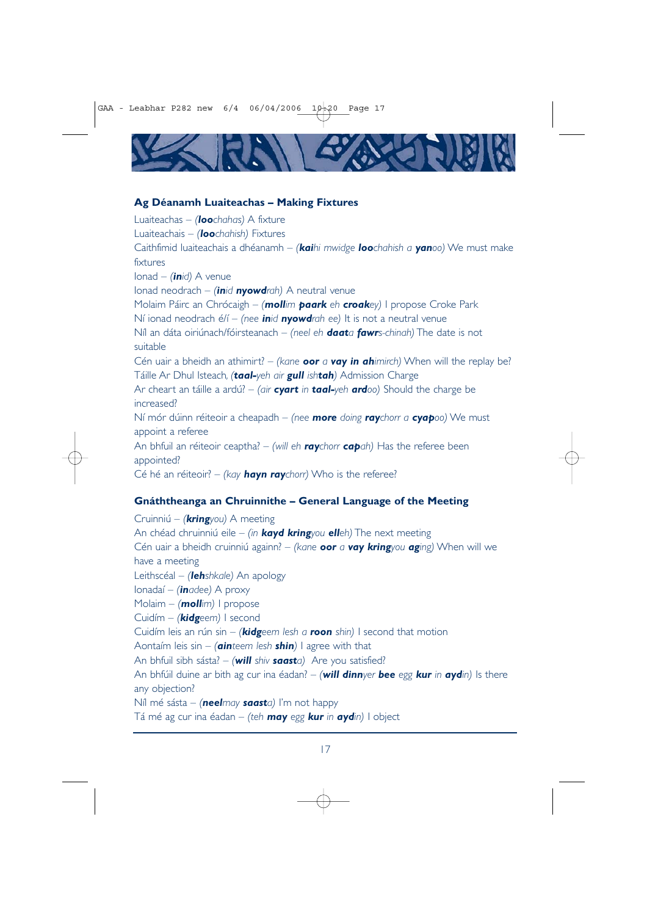

#### **Ag Déanamh Luaiteachas – Making Fixtures**

Luaiteachas – *(loochahas)* A fixture Luaiteachais – *(loochahish)* Fixtures Caithfimid luaiteachais a dhéanamh – *(kaihi mwidge loochahish a yanoo)* We must make fixtures Ionad – *(inid)* A venue Ionad neodrach – *(inid nyowdrah)* A neutral venue Molaim Páirc an Chrócaigh – *(mollim paark eh croakey)* I propose Croke Park Ní ionad neodrach é/í – *(nee inid nyowdrah ee)* It is not a neutral venue Níl an dáta oiriúnach/fóirsteanach – *(neel eh daata fawrs-chinah)* The date is not suitable Cén uair a bheidh an athimirt? – *(kane oor a vay in ahimirch)* When will the replay be? Táille Ar Dhul Isteach*, (taal-yeh air gull ishtah)* Admission Charge Ar cheart an táille a ardú? – *(air cyart in taal-yeh ardoo)* Should the charge be increased? Ní mór dúinn réiteoir a cheapadh – *(nee more doing raychorr a cyapoo)* We must appoint a referee An bhfuil an réiteoir ceaptha? – *(will eh raychorr capah)* Has the referee been appointed? Cé hé an réiteoir? – *(kay hayn raychorr)* Who is the referee?

## **Gnáththeanga an Chruinnithe – General Language of the Meeting**

Cruinniú – *(kringyou)* A meeting An chéad chruinniú eile – *(in kayd kringyou elleh)* The next meeting Cén uair a bheidh cruinniú againn? – *(kane oor a vay kringyou aging)* When will we have a meeting Leithscéal – *(lehshkale)* An apology Ionadaí – *(inadee)* A proxy Molaim – *(mollim)* I propose Cuidím – *(kidgeem)* I second Cuidím leis an rún sin – *(kidgeem lesh a roon shin)* I second that motion Aontaím leis sin – *(ainteem lesh shin)* I agree with that An bhfuil sibh sásta? – *(will shiv saasta)* Are you satisfied? An bhfúil duine ar bith ag cur ina éadan? – *(will dinnyer bee egg kur in aydin)* Is there any objection? Níl mé sásta – *(neelmay saasta)* I'm not happy Tá mé ag cur ina éadan – *(teh may egg kur in aydin)* I object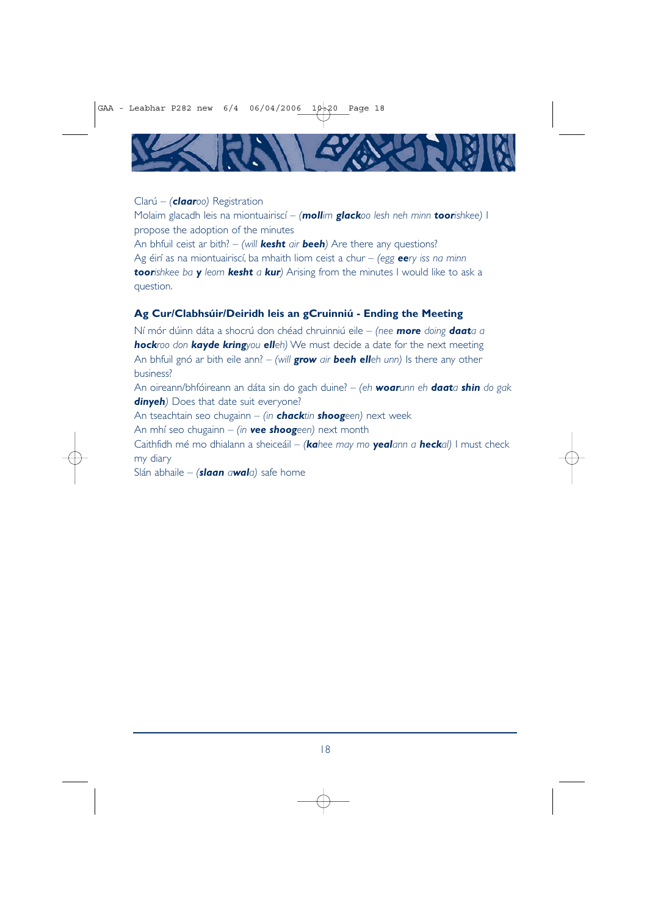

#### Clarú – *(claaroo)* Registration

Molaim glacadh leis na miontuairiscí – *(mollim glackoo lesh neh minn toorishkee)* I propose the adoption of the minutes

An bhfuil ceist ar bith? – *(will kesht air beeh)* Are there any questions? Ag éirí as na miontuairiscí, ba mhaith liom ceist a chur – *(egg eery iss na minn toorishkee ba y leom kesht a kur)* Arising from the minutes I would like to ask a question.

#### **Ag Cur/Clabhsúir/Deiridh leis an gCruinniú - Ending the Meeting**

Ní mór dúinn dáta a shocrú don chéad chruinniú eile – *(nee more doing daata a hockroo don kayde kringyou elleh)* We must decide a date for the next meeting An bhfuil gnó ar bith eile ann? – *(will grow air beeh elleh unn)* Is there any other business?

An oireann/bhfóireann an dáta sin do gach duine? – *(eh woarunn eh daata shin do gak* **dinyeh**) Does that date suit everyone?

An tseachtain seo chugainn – *(in chacktin shoogeen)* next week

An mhí seo chugainn – *(in vee shoogeen)* next month

Caithfidh mé mo dhialann a sheiceáil – *(kahee may mo yealann a heckal)* I must check my diary

Slán abhaile – *(slaan awala)* safe home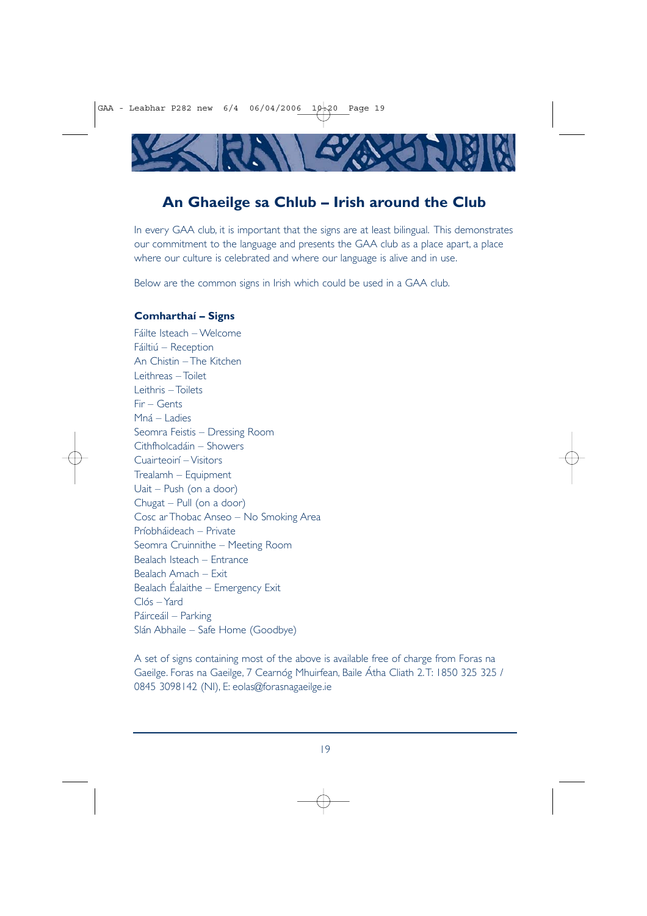

# **An Ghaeilge sa Chlub – Irish around the Club**

In every GAA club, it is important that the signs are at least bilingual. This demonstrates our commitment to the language and presents the GAA club as a place apart, a place where our culture is celebrated and where our language is alive and in use.

Below are the common signs in Irish which could be used in a GAA club.

### **Comharthaí – Signs**

Fáilte Isteach – Welcome Fáiltiú – Reception An Chistin – The Kitchen Leithreas – Toilet Leithris – Toilets Fir – Gents Mná – Ladies Seomra Feistis – Dressing Room Cithfholcadáin – Showers Cuairteoirí – Visitors Trealamh – Equipment Uait – Push (on a door) Chugat – Pull (on a door) Cosc ar Thobac Anseo – No Smoking Area Príobháideach – Private Seomra Cruinnithe – Meeting Room Bealach Isteach – Entrance Bealach Amach – Exit Bealach Éalaithe – Emergency Exit Clós – Yard Páirceáil – Parking Slán Abhaile – Safe Home (Goodbye)

A set of signs containing most of the above is available free of charge from Foras na Gaeilge. Foras na Gaeilge, 7 Cearnóg Mhuirfean, Baile Átha Cliath 2.T: 1850 325 325 / 0845 3098142 (NI), E: eolas@forasnagaeilge.ie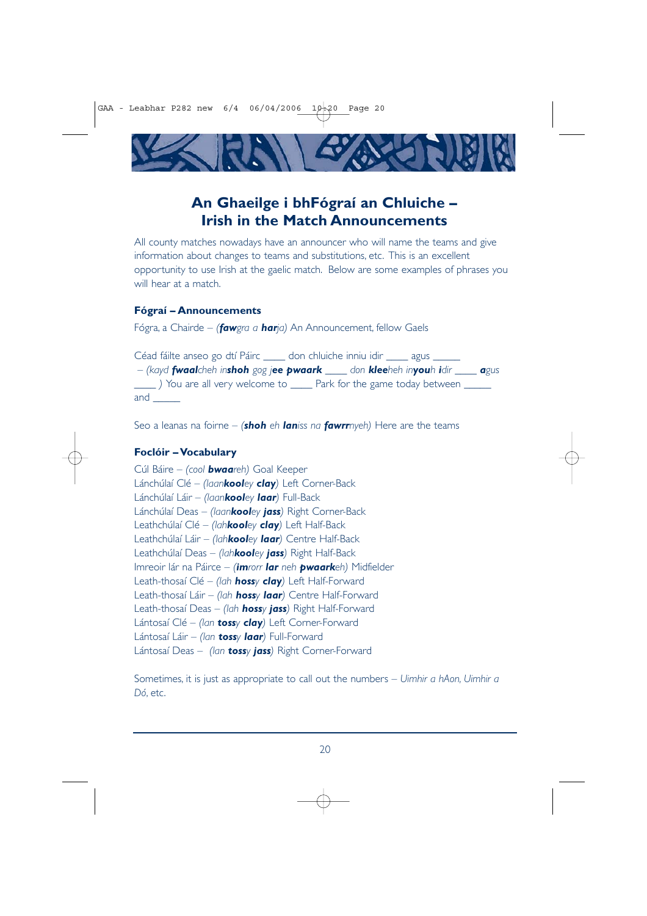

# **An Ghaeilge i bhFógraí an Chluiche – Irish in the Match Announcements**

All county matches nowadays have an announcer who will name the teams and give information about changes to teams and substitutions, etc. This is an excellent opportunity to use Irish at the gaelic match. Below are some examples of phrases you will hear at a match.

#### **Fógraí – Announcements**

Fógra, a Chairde – *(fawgra a harja)* An Announcement, fellow Gaels

Céad fáilte anseo go dtí Páirc \_\_\_\_\_ don chluiche inniu idir \_\_\_\_\_ agus \_ – *(kayd fwaalcheh inshoh gog jee pwaark \_\_\_\_ don kleeheh inyouh idir \_\_\_\_ agus \_\_\_\_ )* You are all very welcome to \_\_\_\_ Park for the game today between \_\_\_\_\_ and \_\_\_\_\_

Seo a leanas na foirne – *(shoh eh laniss na fawrrnyeh)* Here are the teams

#### **Foclóir – Vocabulary**

Cúl Báire – *(cool bwaareh)* Goal Keeper Lánchúlaí Clé – *(laankooley clay)* Left Corner-Back Lánchúlaí Láir – *(laankooley laar)* Full-Back Lánchúlaí Deas – *(laankooley jass)* Right Corner-Back Leathchúlaí Clé – *(lahkooley clay)* Left Half-Back Leathchúlaí Láir – *(lahkooley laar)* Centre Half-Back Leathchúlaí Deas – *(lahkooley jass)* Right Half-Back Imreoir lár na Páirce – *(imrorr lar neh pwaarkeh)* Midfielder Leath-thosaí Clé – *(lah hossy clay)* Left Half-Forward Leath-thosaí Láir – *(lah hossy laar)* Centre Half-Forward Leath-thosaí Deas – *(lah hossy jass)* Right Half-Forward Lántosaí Clé – *(lan tossy clay)* Left Corner-Forward Lántosaí Láir – *(lan tossy laar)* Full-Forward Lántosaí Deas – *(lan tossy jass)* Right Corner-Forward

Sometimes, it is just as appropriate to call out the numbers – *Uimhir a hAon, Uimhir a Dó*, etc.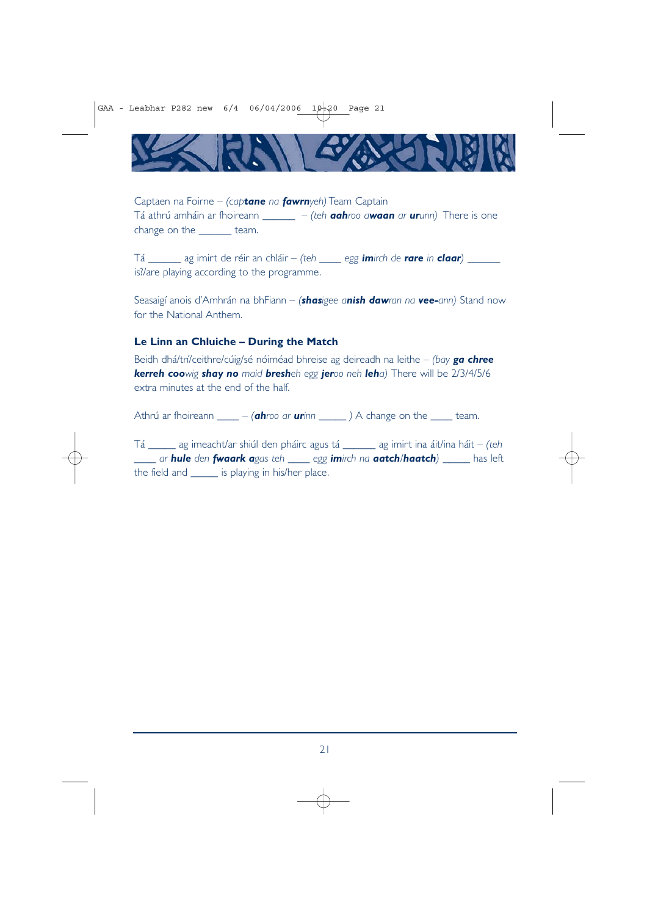GAA - Leabhar P282 new  $6/4$  06/04/2006 10:20 Page 21



Captaen na Foirne – *(captane na fawrnyeh)* Team Captain Tá athrú amháin ar fhoireann \_\_\_\_\_\_ – *(teh aahroo awaan ar urunn)* There is one change on the \_\_\_\_\_\_ team.

Tá \_\_\_\_\_\_ ag imirt de réir an chláir – *(teh \_\_\_\_ egg imirch de rare in claar)* \_\_\_\_\_\_ is?/are playing according to the programme.

Seasaigí anois d'Amhrán na bhFiann – *(shasigee anish dawran na vee-ann)* Stand now for the National Anthem.

### **Le Linn an Chluiche – During the Match**

Beidh dhá/trí/ceithre/cúig/sé nóiméad bhreise ag deireadh na leithe – *(bay ga chree kerreh coowig shay no maid bresheh egg jeroo neh leha)* There will be 2/3/4/5/6 extra minutes at the end of the half.

Athrú ar fhoireann \_\_\_\_ – *(ahroo ar urinn \_\_\_\_\_ )* A change on the \_\_\_\_ team.

Tá \_\_\_\_\_ ag imeacht/ar shiúl den pháirc agus tá \_\_\_\_\_\_ ag imirt ina áit/ina háit – *(teh \_\_\_\_ ar hule den fwaark agas teh \_\_\_\_ egg imirch na aatch/haatch)* \_\_\_\_\_ has left the field and \_\_\_\_\_ is playing in his/her place.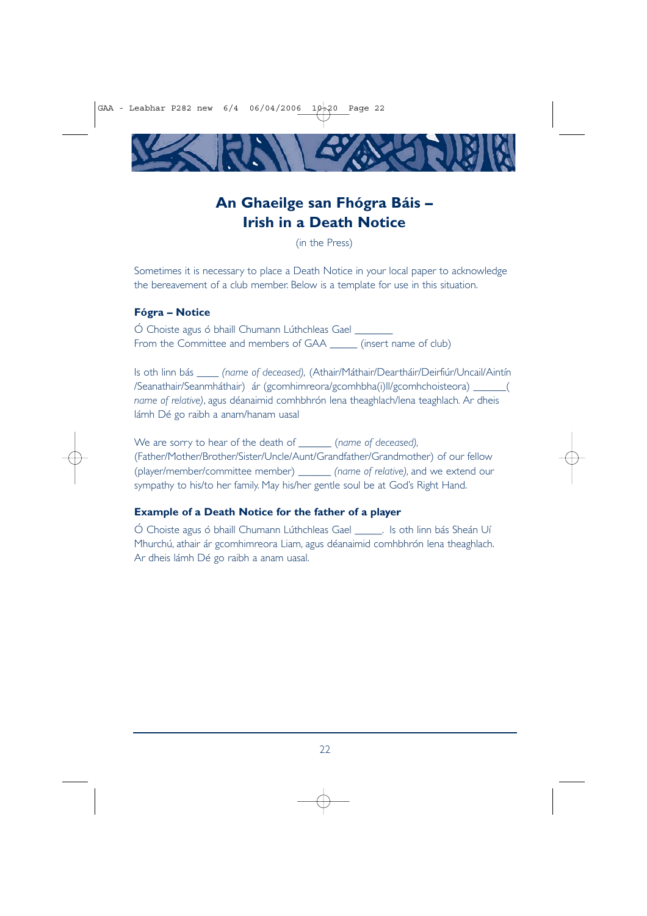

# **An Ghaeilge san Fhógra Báis – Irish in a Death Notice**

(in the Press)

Sometimes it is necessary to place a Death Notice in your local paper to acknowledge the bereavement of a club member. Below is a template for use in this situation.

#### **Fógra – Notice**

Ó Choiste agus ó bhaill Chumann Lúthchleas Gael \_\_\_\_\_\_\_ From the Committee and members of GAA \_\_\_\_\_\_ (insert name of club)

Is oth linn bás \_\_\_\_ *(name of deceased),* (Athair/Máthair/Deartháir/Deirfiúr/Uncail/Aintín /Seanathair/Seanmháthair) ár (gcomhimreora/gcomhbha(i)ll/gcomhchoisteora) \_\_\_\_\_\_( *name of relative)*, agus déanaimid comhbhrón lena theaghlach/lena teaghlach*.* Ar dheis lámh Dé go raibh a anam/hanam uasal

We are sorry to hear of the death of \_\_\_\_\_\_ (*name of deceased),* (Father/Mother/Brother/Sister/Uncle/Aunt/Grandfather/Grandmother) of our fellow (player/member/committee member) *\_\_\_\_\_\_ (name of relative),* and we extend our sympathy to his/to her family. May his/her gentle soul be at God's Right Hand.

#### **Example of a Death Notice for the father of a player**

Ó Choiste agus ó bhaill Chumann Lúthchleas Gael \_\_\_\_\_. Is oth linn bás Sheán Uí Mhurchú, athair ár gcomhimreora Liam, agus déanaimid comhbhrón lena theaghlach. Ar dheis lámh Dé go raibh a anam uasal.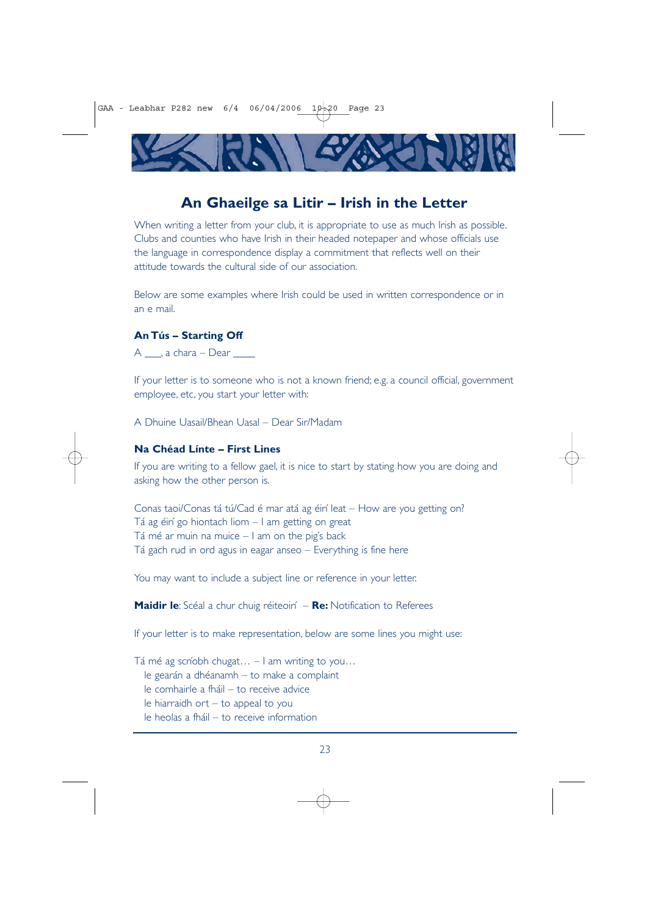

# **An Ghaeilge sa Litir – Irish in the Letter**

When writing a letter from your club, it is appropriate to use as much Irish as possible. Clubs and counties who have Irish in their headed notepaper and whose officials use the language in correspondence display a commitment that reflects well on their attitude towards the cultural side of our association.

Below are some examples where Irish could be used in written correspondence or in an e mail.

#### **An Tús – Starting Off**

 $A \_\_\$ , a chara – Dear  $\_\$ 

If your letter is to someone who is not a known friend; e.g. a council official, government employee, etc, you start your letter with:

A Dhuine Uasail/Bhean Uasal – Dear Sir/Madam

## **Na Chéad Línte – First Lines**

If you are writing to a fellow gael, it is nice to start by stating how you are doing and asking how the other person is.

Conas taoi/Conas tá tú/Cad é mar atá ag éirí leat – How are you getting on? Tá ag éirí go hiontach liom – I am getting on great Tá mé ar muin na muice  $-1$  am on the pig's back Tá gach rud in ord agus in eagar anseo – Everything is fine here

You may want to include a subject line or reference in your letter.

**Maidir le**: Scéal a chur chuig réiteoirí – **Re:** Notification to Referees

If your letter is to make representation, below are some lines you might use:

Tá mé ag scríobh chugat… – I am writing to you… le gearán a dhéanamh – to make a complaint le comhairle a fháil – to receive advice le hiarraidh ort – to appeal to you le heolas a fháil – to receive information